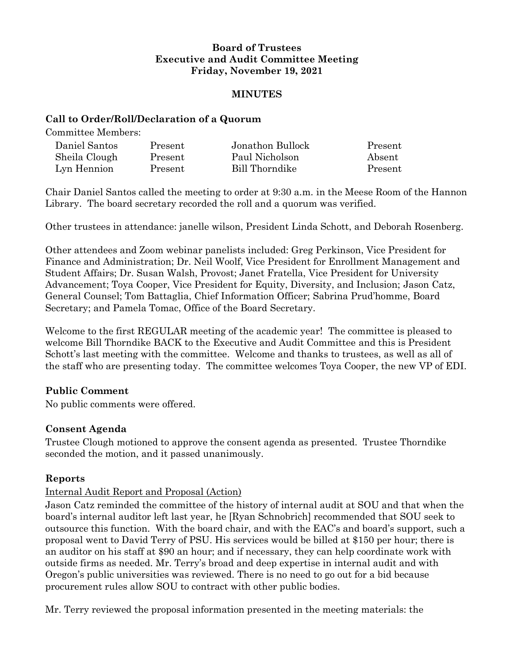## **Board of Trustees Executive and Audit Committee Meeting Friday, November 19, 2021**

#### **MINUTES**

#### **Call to Order/Roll/Declaration of a Quorum**

Committee Members:

| Daniel Santos | Present | Jonathon Bullock | Present |
|---------------|---------|------------------|---------|
| Sheila Clough | Present | Paul Nicholson   | Absent  |
| Lyn Hennion   | Present | Bill Thorndike   | Present |

Chair Daniel Santos called the meeting to order at 9:30 a.m. in the Meese Room of the Hannon Library. The board secretary recorded the roll and a quorum was verified.

Other trustees in attendance: janelle wilson, President Linda Schott, and Deborah Rosenberg.

Other attendees and Zoom webinar panelists included: Greg Perkinson, Vice President for Finance and Administration; Dr. Neil Woolf, Vice President for Enrollment Management and Student Affairs; Dr. Susan Walsh, Provost; Janet Fratella, Vice President for University Advancement; Toya Cooper, Vice President for Equity, Diversity, and Inclusion; Jason Catz, General Counsel; Tom Battaglia, Chief Information Officer; Sabrina Prud'homme, Board Secretary; and Pamela Tomac, Office of the Board Secretary.

Welcome to the first REGULAR meeting of the academic year! The committee is pleased to welcome Bill Thorndike BACK to the Executive and Audit Committee and this is President Schott's last meeting with the committee. Welcome and thanks to trustees, as well as all of the staff who are presenting today. The committee welcomes Toya Cooper, the new VP of EDI.

## **Public Comment**

No public comments were offered.

## **Consent Agenda**

Trustee Clough motioned to approve the consent agenda as presented. Trustee Thorndike seconded the motion, and it passed unanimously.

## **Reports**

## Internal Audit Report and Proposal (Action)

Jason Catz reminded the committee of the history of internal audit at SOU and that when the board's internal auditor left last year, he [Ryan Schnobrich] recommended that SOU seek to outsource this function. With the board chair, and with the EAC's and board's support, such a proposal went to David Terry of PSU. His services would be billed at \$150 per hour; there is an auditor on his staff at \$90 an hour; and if necessary, they can help coordinate work with outside firms as needed. Mr. Terry's broad and deep expertise in internal audit and with Oregon's public universities was reviewed. There is no need to go out for a bid because procurement rules allow SOU to contract with other public bodies.

Mr. Terry reviewed the proposal information presented in the meeting materials: the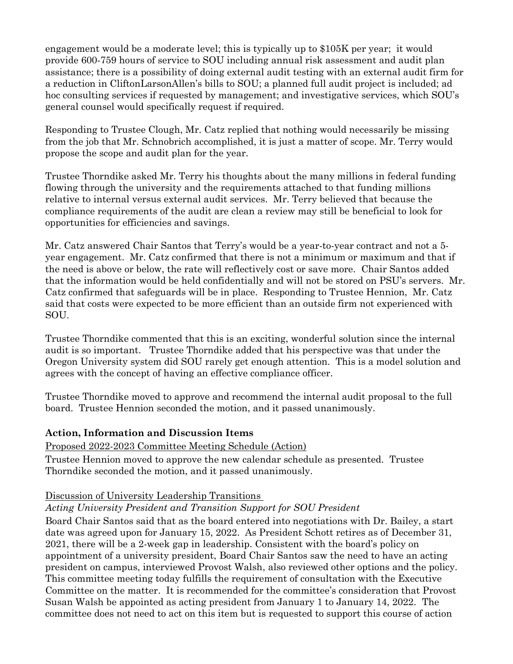engagement would be a moderate level; this is typically up to \$105K per year; it would provide 600-759 hours of service to SOU including annual risk assessment and audit plan assistance; there is a possibility of doing external audit testing with an external audit firm for a reduction in CliftonLarsonAllen's bills to SOU; a planned full audit project is included; ad hoc consulting services if requested by management; and investigative services, which SOU's general counsel would specifically request if required.

Responding to Trustee Clough, Mr. Catz replied that nothing would necessarily be missing from the job that Mr. Schnobrich accomplished, it is just a matter of scope. Mr. Terry would propose the scope and audit plan for the year.

Trustee Thorndike asked Mr. Terry his thoughts about the many millions in federal funding flowing through the university and the requirements attached to that funding millions relative to internal versus external audit services. Mr. Terry believed that because the compliance requirements of the audit are clean a review may still be beneficial to look for opportunities for efficiencies and savings.

Mr. Catz answered Chair Santos that Terry's would be a year-to-year contract and not a 5 year engagement. Mr. Catz confirmed that there is not a minimum or maximum and that if the need is above or below, the rate will reflectively cost or save more. Chair Santos added that the information would be held confidentially and will not be stored on PSU's servers. Mr. Catz confirmed that safeguards will be in place. Responding to Trustee Hennion, Mr. Catz said that costs were expected to be more efficient than an outside firm not experienced with SOU.

Trustee Thorndike commented that this is an exciting, wonderful solution since the internal audit is so important. Trustee Thorndike added that his perspective was that under the Oregon University system did SOU rarely get enough attention. This is a model solution and agrees with the concept of having an effective compliance officer.

Trustee Thorndike moved to approve and recommend the internal audit proposal to the full board. Trustee Hennion seconded the motion, and it passed unanimously.

## **Action, Information and Discussion Items**

## Proposed 2022-2023 Committee Meeting Schedule (Action)

Trustee Hennion moved to approve the new calendar schedule as presented. Trustee Thorndike seconded the motion, and it passed unanimously.

# Discussion of University Leadership Transitions

## *Acting University President and Transition Support for SOU President*

Board Chair Santos said that as the board entered into negotiations with Dr. Bailey, a start date was agreed upon for January 15, 2022. As President Schott retires as of December 31, 2021, there will be a 2-week gap in leadership. Consistent with the board's policy on appointment of a university president, Board Chair Santos saw the need to have an acting president on campus, interviewed Provost Walsh, also reviewed other options and the policy. This committee meeting today fulfills the requirement of consultation with the Executive Committee on the matter. It is recommended for the committee's consideration that Provost Susan Walsh be appointed as acting president from January 1 to January 14, 2022. The committee does not need to act on this item but is requested to support this course of action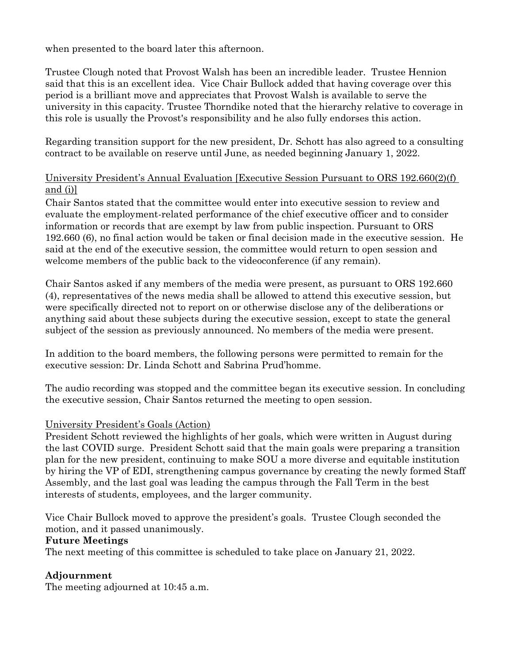when presented to the board later this afternoon.

Trustee Clough noted that Provost Walsh has been an incredible leader. Trustee Hennion said that this is an excellent idea. Vice Chair Bullock added that having coverage over this period is a brilliant move and appreciates that Provost Walsh is available to serve the university in this capacity. Trustee Thorndike noted that the hierarchy relative to coverage in this role is usually the Provost's responsibility and he also fully endorses this action.

Regarding transition support for the new president, Dr. Schott has also agreed to a consulting contract to be available on reserve until June, as needed beginning January 1, 2022.

## University President's Annual Evaluation [Executive Session Pursuant to ORS 192.660(2)(f) and (i)]

Chair Santos stated that the committee would enter into executive session to review and evaluate the employment-related performance of the chief executive officer and to consider information or records that are exempt by law from public inspection. Pursuant to ORS 192.660 (6), no final action would be taken or final decision made in the executive session. He said at the end of the executive session, the committee would return to open session and welcome members of the public back to the videoconference (if any remain).

Chair Santos asked if any members of the media were present, as pursuant to ORS 192.660 (4), representatives of the news media shall be allowed to attend this executive session, but were specifically directed not to report on or otherwise disclose any of the deliberations or anything said about these subjects during the executive session, except to state the general subject of the session as previously announced. No members of the media were present.

In addition to the board members, the following persons were permitted to remain for the executive session: Dr. Linda Schott and Sabrina Prud'homme.

The audio recording was stopped and the committee began its executive session. In concluding the executive session, Chair Santos returned the meeting to open session.

## University President's Goals (Action)

President Schott reviewed the highlights of her goals, which were written in August during the last COVID surge. President Schott said that the main goals were preparing a transition plan for the new president, continuing to make SOU a more diverse and equitable institution by hiring the VP of EDI, strengthening campus governance by creating the newly formed Staff Assembly, and the last goal was leading the campus through the Fall Term in the best interests of students, employees, and the larger community.

Vice Chair Bullock moved to approve the president's goals. Trustee Clough seconded the motion, and it passed unanimously.

#### **Future Meetings**

The next meeting of this committee is scheduled to take place on January 21, 2022.

# **Adjournment**

The meeting adjourned at 10:45 a.m.